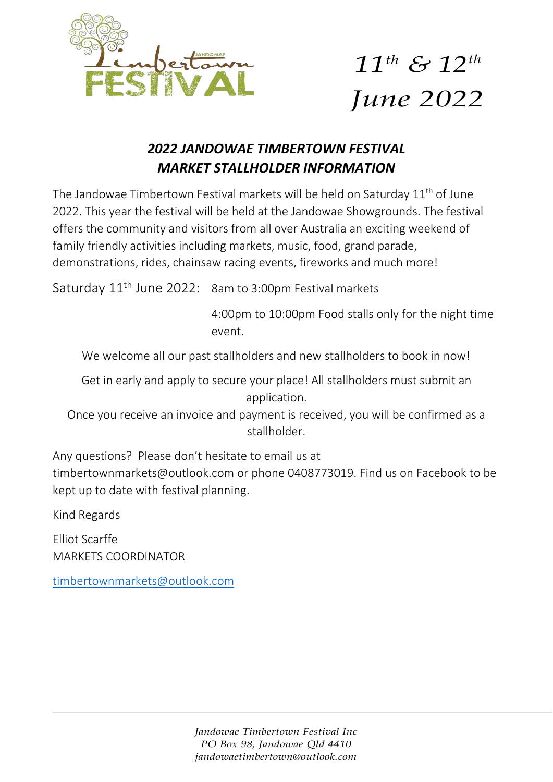

## *11th & 12th June 2022*

### *2022 JANDOWAE TIMBERTOWN FESTIVAL MARKET STALLHOLDER INFORMATION*

The Jandowae Timbertown Festival markets will be held on Saturday 11<sup>th</sup> of June 2022. This year the festival will be held at the Jandowae Showgrounds. The festival offers the community and visitors from all over Australia an exciting weekend of family friendly activities including markets, music, food, grand parade, demonstrations, rides, chainsaw racing events, fireworks and much more!

Saturday 11<sup>th</sup> June 2022: 8am to 3:00pm Festival markets

4:00pm to 10:00pm Food stalls only for the night time event.

We welcome all our past stallholders and new stallholders to book in now!

Get in early and apply to secure your place! All stallholders must submit an application.

Once you receive an invoice and payment is received, you will be confirmed as a stallholder.

Any questions? Please don't hesitate to email us at

[timbertownmarkets@outlook.com o](mailto:timbertownmarkets@outlook.com)r phone 0408773019. Find us on Facebook to be kept up to date with festival planning.

Kind Regards

Elliot Scarffe MARKETS COORDINATOR

[timbertownmarkets@outlook.com](mailto:timbertownmarkets@outlook.com)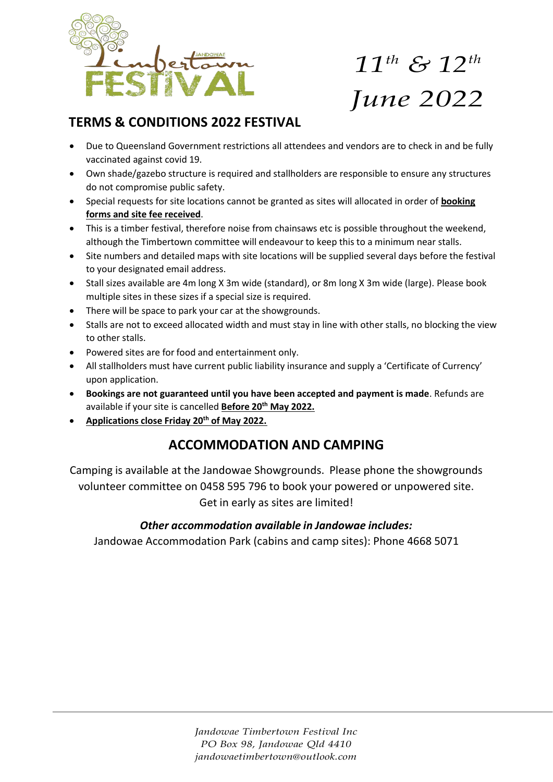

# *11th & 12th June 2022*

#### **TERMS & CONDITIONS 2022 FESTIVAL**

- Due to Queensland Government restrictions all attendees and vendors are to check in and be fully vaccinated against covid 19.
- Own shade/gazebo structure is required and stallholders are responsible to ensure any structures do not compromise public safety.
- Special requests for site locations cannot be granted as sites will allocated in order of **booking forms and site fee received**.
- This is a timber festival, therefore noise from chainsaws etc is possible throughout the weekend, although the Timbertown committee will endeavour to keep this to a minimum near stalls.
- Site numbers and detailed maps with site locations will be supplied several days before the festival to your designated email address.
- Stall sizes available are 4m long X 3m wide (standard), or 8m long X 3m wide (large). Please book multiple sites in these sizes if a special size is required.
- There will be space to park your car at the showgrounds.
- Stalls are not to exceed allocated width and must stay in line with other stalls, no blocking the view to other stalls.
- Powered sites are for food and entertainment only.
- All stallholders must have current public liability insurance and supply a 'Certificate of Currency' upon application.
- **Bookings are not guaranteed until you have been accepted and payment is made**. Refunds are available if your site is cancelled **Before 20th May 2022.**
- **Applications close Friday 20th of May 2022.**

#### **ACCOMMODATION AND CAMPING**

Camping is available at the Jandowae Showgrounds. Please phone the showgrounds volunteer committee on 0458 595 796 to book your powered or unpowered site. Get in early as sites are limited!

#### *Other accommodation available in Jandowae includes:*

Jandowae Accommodation Park (cabins and camp sites): Phone 4668 5071